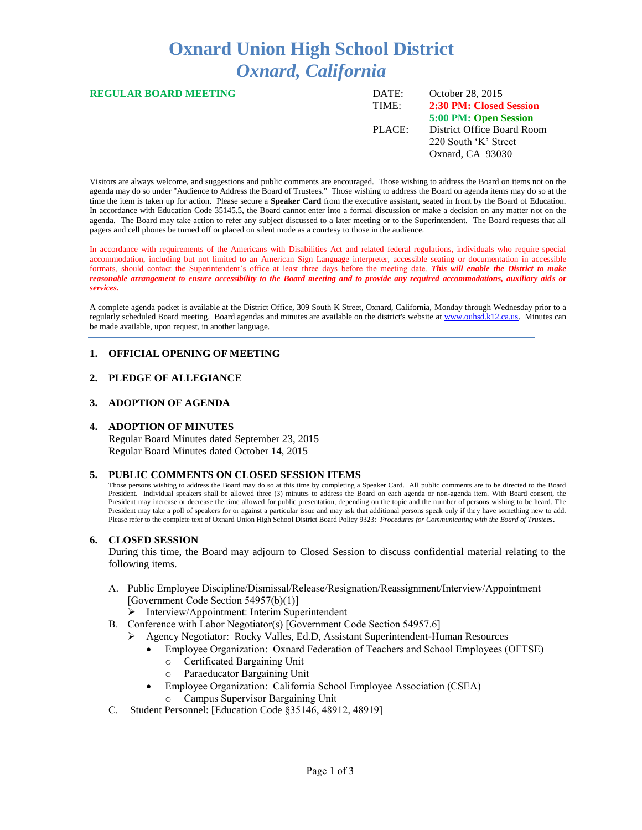# **Oxnard Union High School District** *Oxnard, California*

| <b>REGULAR BOARD MEETING</b> | DATE:  | October 28, 2015           |
|------------------------------|--------|----------------------------|
|                              | TIME:  | 2:30 PM: Closed Session    |
|                              |        | 5:00 PM: Open Session      |
|                              | PLACE: | District Office Board Room |
|                              |        | 220 South 'K' Street       |
|                              |        | Oxnard, CA 93030           |
|                              |        |                            |

Visitors are always welcome, and suggestions and public comments are encouraged. Those wishing to address the Board on items not on the agenda may do so under "Audience to Address the Board of Trustees." Those wishing to address the Board on agenda items may do so at the time the item is taken up for action. Please secure a **Speaker Card** from the executive assistant, seated in front by the Board of Education. In accordance with Education Code 35145.5, the Board cannot enter into a formal discussion or make a decision on any matter not on the agenda. The Board may take action to refer any subject discussed to a later meeting or to the Superintendent. The Board requests that all pagers and cell phones be turned off or placed on silent mode as a courtesy to those in the audience.

In accordance with requirements of the Americans with Disabilities Act and related federal regulations, individuals who require special accommodation, including but not limited to an American Sign Language interpreter, accessible seating or documentation in accessible formats, should contact the Superintendent's office at least three days before the meeting date. *This will enable the District to make reasonable arrangement to ensure accessibility to the Board meeting and to provide any required accommodations, auxiliary aids or services.* 

A complete agenda packet is available at the District Office, 309 South K Street, Oxnard, California, Monday through Wednesday prior to a regularly scheduled Board meeting. Board agendas and minutes are available on the district's website a[t www.ouhsd.k12.ca.us.](http://www.ouhsd.k12.ca.us/)Minutes can be made available, upon request, in another language.

# **1. OFFICIAL OPENING OF MEETING**

# **2. PLEDGE OF ALLEGIANCE**

# **3. ADOPTION OF AGENDA**

## **4. ADOPTION OF MINUTES**

Regular Board Minutes dated September 23, 2015 Regular Board Minutes dated October 14, 2015

#### **5. PUBLIC COMMENTS ON CLOSED SESSION ITEMS**

Those persons wishing to address the Board may do so at this time by completing a Speaker Card. All public comments are to be directed to the Board President. Individual speakers shall be allowed three (3) minutes to address the Board on each agenda or non-agenda item. With Board consent, the President may increase or decrease the time allowed for public presentation, depending on the topic and the number of persons wishing to be heard. The President may take a poll of speakers for or against a particular issue and may ask that additional persons speak only if they have something new to add. Please refer to the complete text of Oxnard Union High School District Board Policy 9323: *Procedures for Communicating with the Board of Trustees*.

#### **6. CLOSED SESSION**

During this time, the Board may adjourn to Closed Session to discuss confidential material relating to the following items.

- A. Public Employee Discipline/Dismissal/Release/Resignation/Reassignment/Interview/Appointment [Government Code Section 54957(b)(1)]
	- > Interview/Appointment: Interim Superintendent
- B. Conference with Labor Negotiator(s) [Government Code Section 54957.6]
	- Agency Negotiator: Rocky Valles, Ed.D, Assistant Superintendent-Human Resources
		- Employee Organization: Oxnard Federation of Teachers and School Employees (OFTSE)
			- o Certificated Bargaining Unit
			- o Paraeducator Bargaining Unit
		- Employee Organization: California School Employee Association (CSEA)
			- o Campus Supervisor Bargaining Unit
- C. Student Personnel: [Education Code §35146, 48912, 48919]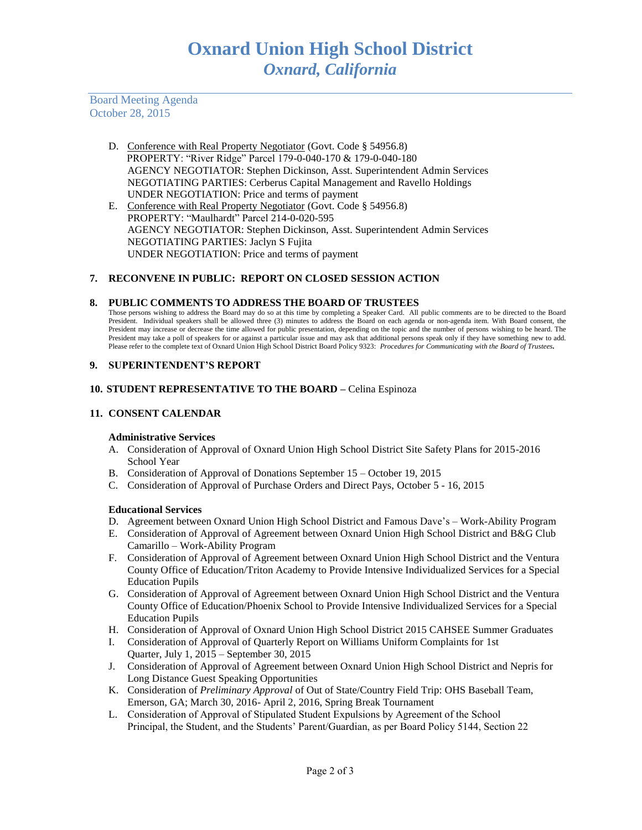Board Meeting Agenda October 28, 2015

- D. Conference with Real Property Negotiator (Govt. Code § 54956.8) PROPERTY: "River Ridge" Parcel 179-0-040-170 & 179-0-040-180 AGENCY NEGOTIATOR: Stephen Dickinson, Asst. Superintendent Admin Services NEGOTIATING PARTIES: Cerberus Capital Management and Ravello Holdings UNDER NEGOTIATION: Price and terms of payment
- E. Conference with Real Property Negotiator (Govt. Code § 54956.8) PROPERTY: "Maulhardt" Parcel 214-0-020-595 AGENCY NEGOTIATOR: Stephen Dickinson, Asst. Superintendent Admin Services NEGOTIATING PARTIES: Jaclyn S Fujita UNDER NEGOTIATION: Price and terms of payment

## **7. RECONVENE IN PUBLIC: REPORT ON CLOSED SESSION ACTION**

## **8. PUBLIC COMMENTS TO ADDRESS THE BOARD OF TRUSTEES**

Those persons wishing to address the Board may do so at this time by completing a Speaker Card. All public comments are to be directed to the Board President. Individual speakers shall be allowed three (3) minutes to address the Board on each agenda or non-agenda item. With Board consent, the President may increase or decrease the time allowed for public presentation, depending on the topic and the number of persons wishing to be heard. The President may take a poll of speakers for or against a particular issue and may ask that additional persons speak only if they have something new to add. Please refer to the complete text of Oxnard Union High School District Board Policy 9323: *Procedures for Communicating with the Board of Trustees.*

## **9. SUPERINTENDENT'S REPORT**

## **10. STUDENT REPRESENTATIVE TO THE BOARD –** Celina Espinoza

## **11. CONSENT CALENDAR**

#### **Administrative Services**

- A. Consideration of Approval of Oxnard Union High School District Site Safety Plans for 2015-2016 School Year
- B. Consideration of Approval of Donations September 15 October 19, 2015
- C. Consideration of Approval of Purchase Orders and Direct Pays, October 5 16, 2015

#### **Educational Services**

- D. Agreement between Oxnard Union High School District and Famous Dave's Work-Ability Program
- E. Consideration of Approval of Agreement between Oxnard Union High School District and B&G Club Camarillo – Work-Ability Program
- F. Consideration of Approval of Agreement between Oxnard Union High School District and the Ventura County Office of Education/Triton Academy to Provide Intensive Individualized Services for a Special Education Pupils
- G. Consideration of Approval of Agreement between Oxnard Union High School District and the Ventura County Office of Education/Phoenix School to Provide Intensive Individualized Services for a Special Education Pupils
- H. Consideration of Approval of Oxnard Union High School District 2015 CAHSEE Summer Graduates
- I. Consideration of Approval of Quarterly Report on Williams Uniform Complaints for 1st Quarter, July 1, 2015 – September 30, 2015
- J. Consideration of Approval of Agreement between Oxnard Union High School District and Nepris for Long Distance Guest Speaking Opportunities
- K. Consideration of *Preliminary Approval* of Out of State/Country Field Trip: OHS Baseball Team, Emerson, GA; March 30, 2016- April 2, 2016, Spring Break Tournament
- L. Consideration of Approval of Stipulated Student Expulsions by Agreement of the School Principal, the Student, and the Students' Parent/Guardian, as per Board Policy 5144, Section 22